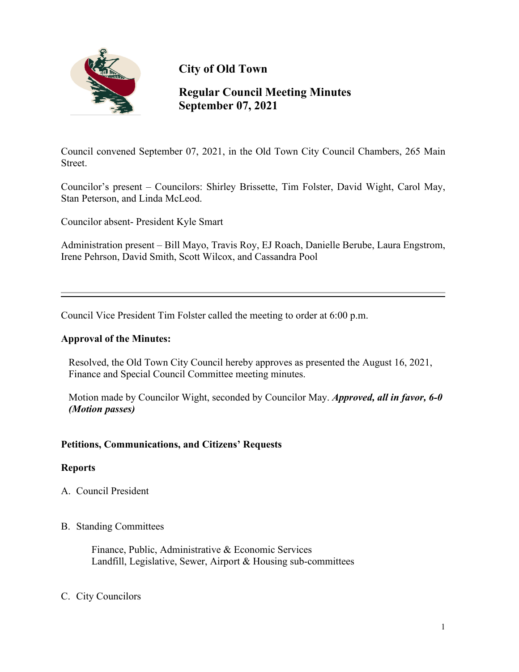

**City of Old Town**

# **Regular Council Meeting Minutes September 07, 2021**

Council convened September 07, 2021, in the Old Town City Council Chambers, 265 Main Street.

Councilor's present – Councilors: Shirley Brissette, Tim Folster, David Wight, Carol May, Stan Peterson, and Linda McLeod.

Councilor absent- President Kyle Smart

Administration present – Bill Mayo, Travis Roy, EJ Roach, Danielle Berube, Laura Engstrom, Irene Pehrson, David Smith, Scott Wilcox, and Cassandra Pool

Council Vice President Tim Folster called the meeting to order at 6:00 p.m.

#### **Approval of the Minutes:**

Resolved, the Old Town City Council hereby approves as presented the August 16, 2021, Finance and Special Council Committee meeting minutes.

Motion made by Councilor Wight, seconded by Councilor May. *Approved, all in favor, 6-0 (Motion passes)*

## **Petitions, Communications, and Citizens' Requests**

#### **Reports**

A. Council President

#### B. Standing Committees

 Finance, Public, Administrative & Economic Services Landfill, Legislative, Sewer, Airport & Housing sub-committees

#### C. City Councilors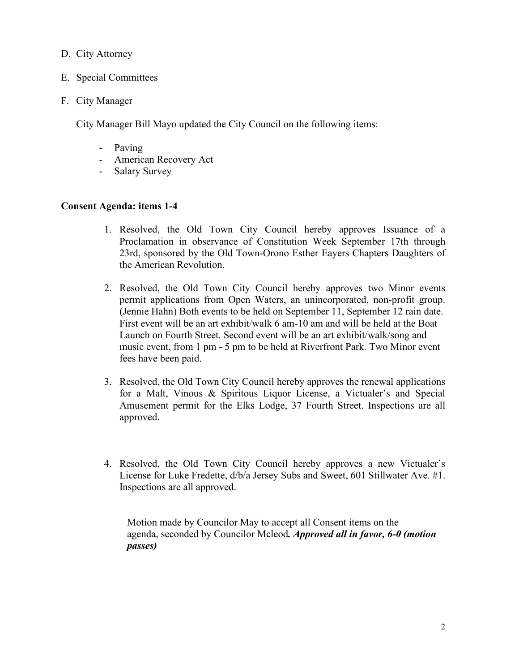#### D. City Attorney

- E. Special Committees
- F. City Manager

City Manager Bill Mayo updated the City Council on the following items:

- Paving
- American Recovery Act
- Salary Survey

## **Consent Agenda: items 1-4**

- 1. Resolved, the Old Town City Council hereby approves Issuance of a Proclamation in observance of Constitution Week September 17th through 23rd, sponsored by the Old Town-Orono Esther Eayers Chapters Daughters of the American Revolution.
- 2. Resolved, the Old Town City Council hereby approves two Minor events permit applications from Open Waters, an unincorporated, non-profit group. (Jennie Hahn) Both events to be held on September 11, September 12 rain date. First event will be an art exhibit/walk 6 am-10 am and will be held at the Boat Launch on Fourth Street. Second event will be an art exhibit/walk/song and music event, from 1 pm - 5 pm to be held at Riverfront Park. Two Minor event fees have been paid.
- 3. Resolved, the Old Town City Council hereby approves the renewal applications for a Malt, Vinous & Spiritous Liquor License, a Victualer's and Special Amusement permit for the Elks Lodge, 37 Fourth Street. Inspections are all approved.
- 4. Resolved, the Old Town City Council hereby approves a new Victualer's License for Luke Fredette, d/b/a Jersey Subs and Sweet, 601 Stillwater Ave. #1. Inspections are all approved.

Motion made by Councilor May to accept all Consent items on the agenda, seconded by Councilor Mcleod*. Approved all in favor, 6-0 (motion passes)*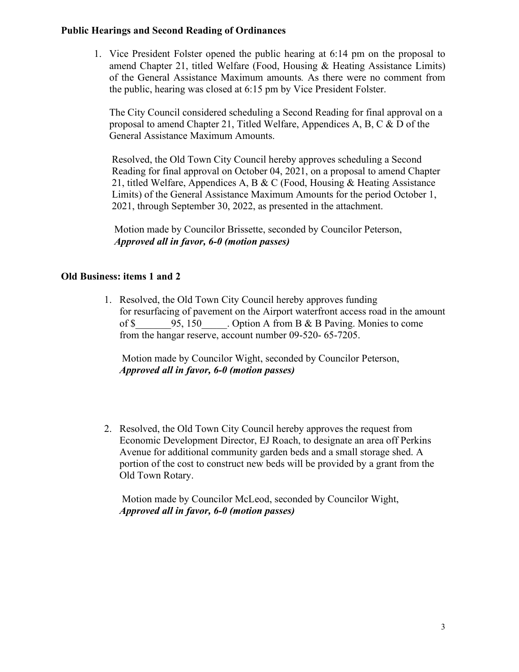#### **Public Hearings and Second Reading of Ordinances**

1. Vice President Folster opened the public hearing at 6:14 pm on the proposal to amend Chapter 21, titled Welfare (Food, Housing & Heating Assistance Limits) of the General Assistance Maximum amounts*.* As there were no comment from the public, hearing was closed at 6:15 pm by Vice President Folster.

The City Council considered scheduling a Second Reading for final approval on a proposal to amend Chapter 21, Titled Welfare, Appendices A, B, C & D of the General Assistance Maximum Amounts.

Resolved, the Old Town City Council hereby approves scheduling a Second Reading for final approval on October 04, 2021, on a proposal to amend Chapter 21, titled Welfare, Appendices A, B & C (Food, Housing & Heating Assistance Limits) of the General Assistance Maximum Amounts for the period October 1, 2021, through September 30, 2022, as presented in the attachment.

 Motion made by Councilor Brissette, seconded by Councilor Peterson, *Approved all in favor, 6-0 (motion passes)*

## **Old Business: items 1 and 2**

1. Resolved, the Old Town City Council hereby approves funding for resurfacing of pavement on the Airport waterfront access road in the amount of \$ 95, 150 . Option A from B & B Paving. Monies to come from the hangar reserve, account number 09-520- 65-7205.

 Motion made by Councilor Wight, seconded by Councilor Peterson, *Approved all in favor, 6-0 (motion passes)*

2. Resolved, the Old Town City Council hereby approves the request from Economic Development Director, EJ Roach, to designate an area off Perkins Avenue for additional community garden beds and a small storage shed. A portion of the cost to construct new beds will be provided by a grant from the Old Town Rotary.

 Motion made by Councilor McLeod, seconded by Councilor Wight, *Approved all in favor, 6-0 (motion passes)*